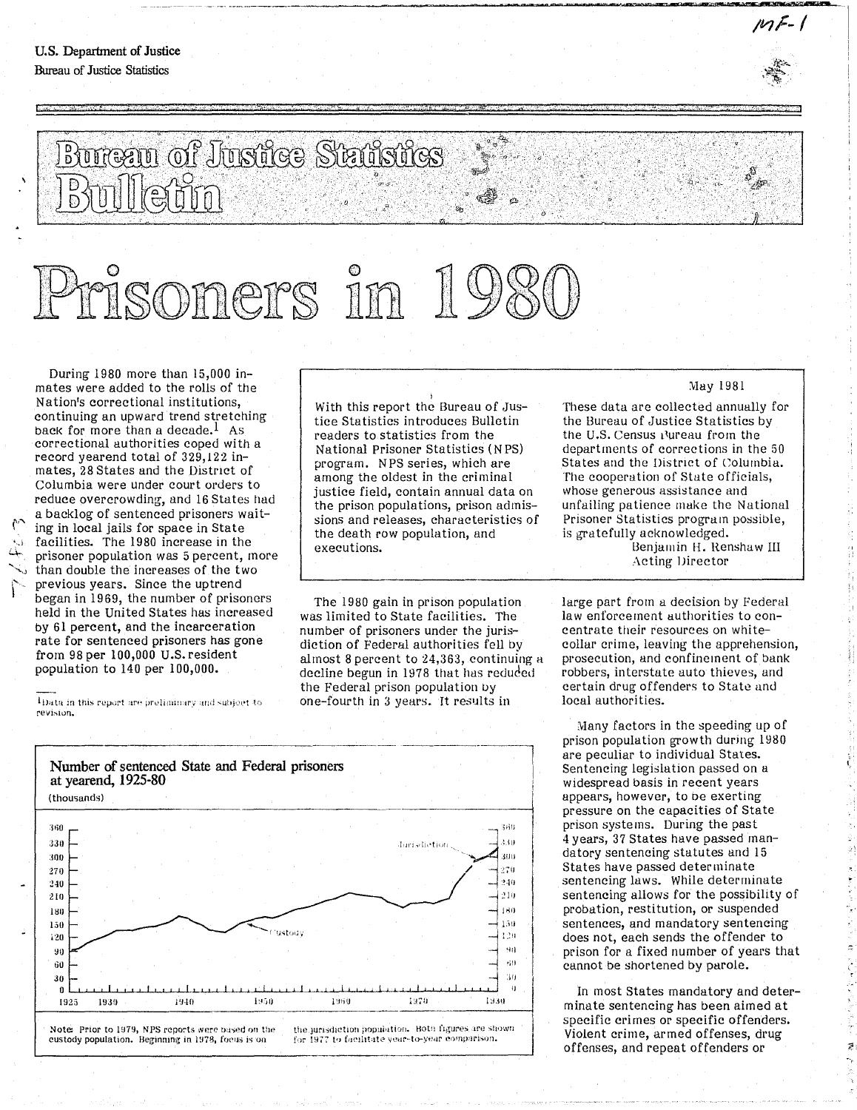*/VlF-/* 

## Bureau of Justice Statistics

## soners in

During 1980 more than 15,000 inmates were added to the rolls of the Nation's correctional institutions, continuing an upward trend stretching back for more than a decade.<sup>1</sup> As correctional authorities coped with a record yearend total of 329,122 inmates, 28 States and the District of Columbia were under court orders to reduce overcrowding, and 16 States had a backlog of sentenced prisoners waiting in local jails for space in State  $\sim$  facilities. The 1980 increase in the prisoner population was 5 percent, more than double the increases of the two previous years. Since the uptrend began in 1969, the number of prisoners held in the United States has increased by 61 percent, and the incarceration rate for sentenced prisoners has gone from 98 per 100,000 U.S. resident population to 140 per 100,000.

 $^1$ Data in this report are preliminary and subject to revision.

With this report the Bureau of Justice Statistics introduces Bulletin readers to statistics from the National Prisoner Statistics (N PS) program. NPS series, which are among the oldest in the criminal justice field, contain annual data on the prison populations, prison admissions and releases, characteristics of the death row population, and executions.

\_\_\_\_\_\_\_ ~ \_\_ . \_\_ . \_\_\_\_ • \_\_\_\_\_\_\_\_ ~ \_\_\_\_\_\_\_ ....... \_\_\_\_\_ .... '\_=""""" ...... =n\_..\_n..... \_ ...... 'iM' ... """''''' ........... ' .... ··.....-:~, ........ ..,\_EN""""'-""lfIWF \_\_ .....\_

The 1980 gain in prison population was limited to State facilities. The number of prisoners under the jurisdiction of Federal authorities fell by almost 8 percent to  $24,363$ , continuing a decline begun in 1978 that has reduded the Federal prison population by one-fourth in 3 years. It results in



These data are collected annually for the Bureau of Justice Statistics by the U.S. Census Pureau from the departments of corrections in the 50 States and the District of Columbia. The cooperation of State officials, whose generous assistance and unfailing patience make the National Prisoner Statistics program possible, is gratefully acknowledged.

Benjamin H. Renshaw III Acting Director

large part from a decision by Federal law enforcement uuthorities to concentrate their resources on whitecollar crime, leaving the apprehension, prosecution, and confinement of bank robbers, interstate auto thieves, and certain drug offenders to State and local authorities.

Many factors in the speeding up of prison population growth during 1980 are peculiar to individual States. Sentencing legislation passed on a widespread basis in recent years appears, however, to oe exerting pressure on the capacities of State prison systems. During the past 4 years, 37 States have passed mandatory sentencing statutes and 15 States have passed determinate sentencing laws. While determinate sentencing allows for the possibility of probation, restitution, or suspended sentences, and mandatory sentencing does not, each sends the offender to prison for a fixed number of years that cannot be shortened by parole.

'.

In most States mandatory and determinate sentencing has been aimed at specific crimes or specific offenders. Violent crime, armed offenses, drug offenses, and repeat offenders or

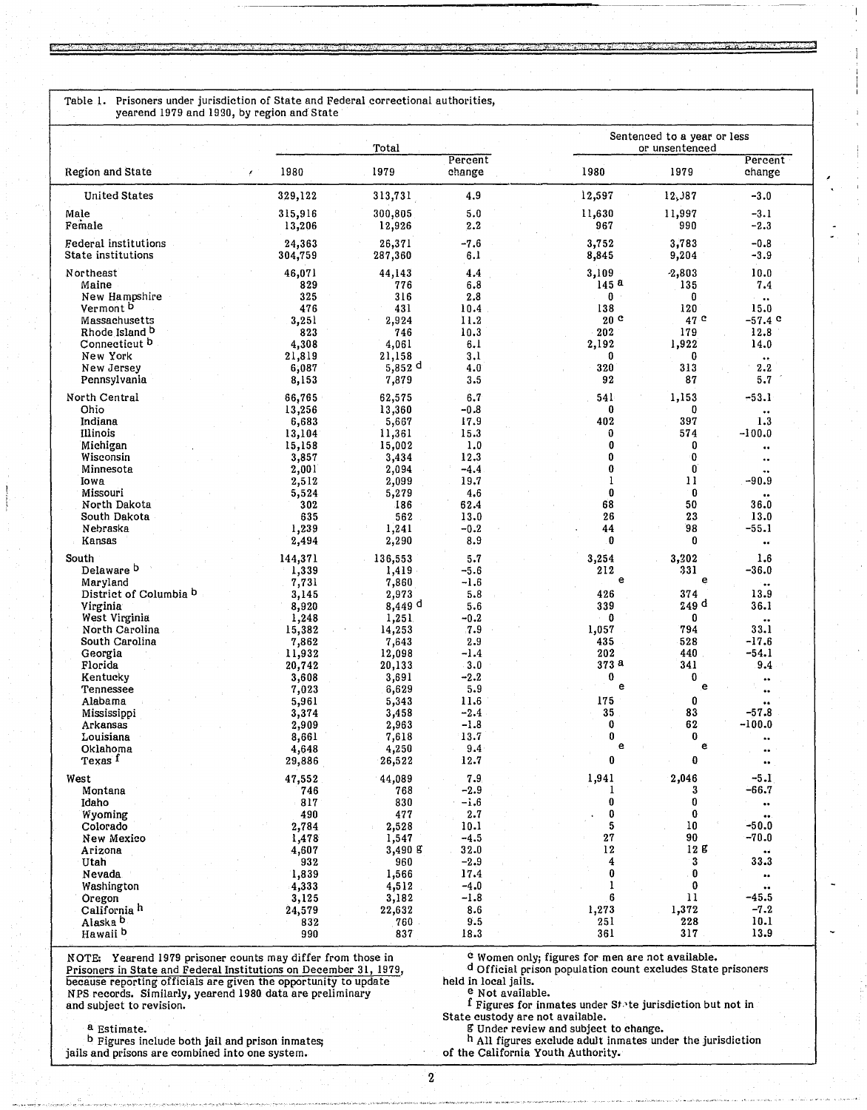Table 1. Prisoners under jurisdiction of State and Federal correctional authorities, yearend 1979 and 1930, by region and State

|                                                        | Total               |                               | Sentenced to a year or less<br>or unsentenced |                                 |                        |                                       |
|--------------------------------------------------------|---------------------|-------------------------------|-----------------------------------------------|---------------------------------|------------------------|---------------------------------------|
| Region and State<br>x                                  | 1980                | 1979                          | Percent<br>change                             | 1980                            | 1979                   | Percent<br>change                     |
| <b>United States</b>                                   | 329,122             | 313,731                       | 4.9                                           | 12,597                          | 12,387                 | $-3.0$                                |
| Male<br>Female                                         | 315,916<br>13,206   | 300,805<br>12,926             | 5.0<br>2.2                                    | 11,630<br>967                   | 11,997<br>990          | $-3.1$<br>$-2.3$                      |
| Federal institutions<br>State institutions             | 24,363<br>304,759   | 26,371<br>287,360             | $-7.6$<br>6.1                                 | 3,752<br>8,845                  | 3,783<br>9,204         | $-0.8$<br>$-3.9$                      |
| Northeast<br>Maine                                     | 46,071<br>829       | 44,143<br>776                 | 4.4<br>6.8                                    | 3,109<br>145 <sup>a</sup>       | $-2,803$<br>135        | 10.0<br>7.4                           |
| New Hampshire<br>Vermont <sup>b</sup><br>Massachusetts | 325<br>476<br>3,251 | 316<br>431<br>2,924           | 2.8<br>10.4<br>11.2                           | $0$ .<br>138<br>20 <sup>c</sup> | $\bf{0}$<br>120<br>47C | $\bullet\bullet$<br>15.0<br>$-57.4$ c |
| Rhode Island <sup>D</sup>                              | 823                 | 746                           | 10.3                                          | 202                             | 179                    | 12.8                                  |
| Connecticut <sup>b</sup><br>New York                   | 4,308<br>21,819     | 4,061<br>21,158               | 6.1<br>3.1                                    | 2,192<br>0                      | 1,922<br>0             | 14.0<br>$\bullet\bullet$              |
| New Jersey<br>Pennsylvania                             | 6,087<br>8,153      | $5,852$ <sup>d</sup><br>7,879 | 4.0<br>3.5                                    | 320<br>92                       | 313<br>87              | 2.2<br>5.7                            |
| North Central<br>Ohio                                  | 66,765              | 62,575                        | 6.7                                           | 541                             | 1,153                  | $-53.1$                               |
| Indiana                                                | 13,256<br>6,683     | 13,360<br>5,667               | $-0.8$<br>17.9                                | 0<br>402                        | 0<br>397               | ۰.<br>1.3                             |
| Illinois<br>Michigan                                   | 13,104<br>15,158    | 11,361<br>15,002              | 15.3<br>1.0                                   | 0<br>0                          | 574<br>0               | -100.0                                |
| Wisconsin                                              | 3,857               | 3,434                         | 12.3                                          | 0                               | 0                      | ٠.<br>                                |
| Minnesota<br>Iowa                                      | 2,001<br>2,512      | 2,094<br>2,099                | $-4.4$<br>19.7                                | 0<br>1                          | O<br>11                | $-90.9$                               |
| Missouri                                               | 5,524               | 5,279                         | 4,6                                           | 0                               | $\bf{0}$               |                                       |
| North Dakota<br>South Dakota                           | 302<br>635          | 186<br>562                    | 62.4                                          | 68<br>26                        | 50<br>23               | 36.0<br>13.0                          |
| Nebraska                                               | 1,239               | 1,241                         | 13.0<br>$-0.2$                                | 44                              | 98                     | $-55.1$                               |
| Kansas                                                 | 2,494               | 2,290                         | 8.9                                           | 0                               | $\bf{0}$               | $\bullet\bullet$                      |
| South                                                  | 144,371             | 136,553                       | 5.7                                           | 3,254                           | 3,202                  | 1.6                                   |
| Delaware b<br>Maryland                                 | 1,339<br>7,731      | 1,419<br>7,860                | $-5.6$<br>$-1.6$                              | 212<br>e                        | 331<br>e               | $-36.0$<br>                           |
| District of Columbia <sup>b</sup>                      | 3,145               | 2,973                         | 5.8                                           | 426                             | 374                    | 13.9                                  |
| Virginia<br>West Virginia                              | 8,920<br>1,248      | 8,449 d<br>1,251              | 5.6<br>$-0.2$                                 | 339<br>0                        | 249 d<br>0             | 36.1                                  |
| North Carolina                                         | 15,382              | 14,253                        | 7.9                                           | 1,057                           | 794                    | <br>33.1                              |
| South Carolina                                         | 7,862               | 7,643                         | 2.9                                           | 435                             | 528                    | $-17.6$                               |
| Georgia<br>Florida                                     | 11,932<br>20,742    | 12,098<br>20,133              | $-1.4$<br>3.0                                 | 202<br>373 a                    | 440<br>341             | $-54.1$<br>9.4                        |
| Kentucky                                               | 3,608               | 3,691                         | $-2.2$                                        | 0                               | $\mathbf 0$            | ۰.                                    |
| Tennessee                                              | 7,023               | 6,629                         | 5.9                                           | e                               | e                      | $\bullet\bullet$                      |
| Alabama<br>Mississippi                                 | 5,961<br>3,374      | 5,343<br>3,458                | 11.6<br>$-2.4$                                | 175<br>35                       | 0<br>83                | ÷.<br>$-57.8$                         |
| Arkansas                                               | 2,909               | 2,963                         | $-1.8$                                        | 0                               | 62                     | $-100.0$                              |
| Louisiana                                              | 8,661               | 7,618                         | 13.7                                          | 0<br>е                          | 0<br>e                 | $\bullet$ .                           |
| Oklahoma<br>Texas <sup>f</sup>                         | 4,648<br>29,886     | 4,250<br>26,522               | 9.4<br>12.7                                   | 0                               | 0                      | $\bullet\bullet$<br>$\bullet\bullet$  |
| West                                                   | 47,552              | 44,089                        | 7.9                                           | 1,941                           | 2,046                  | $-5.1$                                |
| Montana                                                | 746                 | 768                           | $-2.9$                                        | 1                               | 3                      | $-66.7$                               |
| Idaho<br>Wyoming                                       | 817<br>490          | 830<br>477                    | $-1.6$<br>2.7                                 | 0<br>0                          | 0<br>$\bf{0}$          | <br>$\bullet\bullet$ .                |
| Colorado                                               | 2,784               | 2,528                         | 10.1                                          | 5                               | 10                     | $-50.0$                               |
| New Mexico                                             | 1,478               | 1,547                         | $-4.5$                                        | 27                              | 90                     | $-70.0$                               |
| Arizona<br>Utah                                        | 4,607<br>932        | 3,490 g<br>960                | 32.0<br>$-2.9$                                | 12<br>4                         | 12 g<br>3              | 33.3                                  |
| Nevada                                                 | 1,839               | 1,566                         | 17.4                                          | 0                               | 0                      | $\bullet\bullet$                      |
| Washington                                             | 4,333               | 4,512                         | $-4.0$                                        | 1                               | 0                      | ŵ                                     |
| Oregon<br>California <sup>h</sup>                      | 3,125<br>24,579     | 3,182<br>22,632               | $-1.8$<br>8.6                                 | 6<br>1,273                      | $\mathbf{11}$<br>1,372 | $-45.5$<br>$-7.2$                     |
| Alaska <sup>b</sup>                                    | 832                 | 760                           | 9.5                                           | 251                             | 228                    | 10.1                                  |
| Hawaii b                                               | 990                 | 837                           | 18.3                                          | 361                             | 317                    | 13.9                                  |

NOTE: Yearend 1979 prisoner counts may differ from those in come only; figures for men are not available.<br>Prisoners in State and Federal Institutions on December 31, 1979, dofficial prison population count excludes State p Prisoners in State and Federal Institutions on December 31, 1979, december of Official prison population prison population count excludes State prison population count excludes State prison beld in local jails. because reporting officials are given the opportunity to update held in local jails. NPS records. Similarly, yearend 1980 data are preliminary e Not available. and subject to revision. Figures for inmates under State jurisdiction but not in

---- -------

State custody are not available. a Estimate. g Under review and subject to change.

b Figures include both jail and prison inmates; h All figures exclude adult inmates under the jurisdiction

b Figures include both jail and prison inmates;<br>jails and prisons are combined into one system.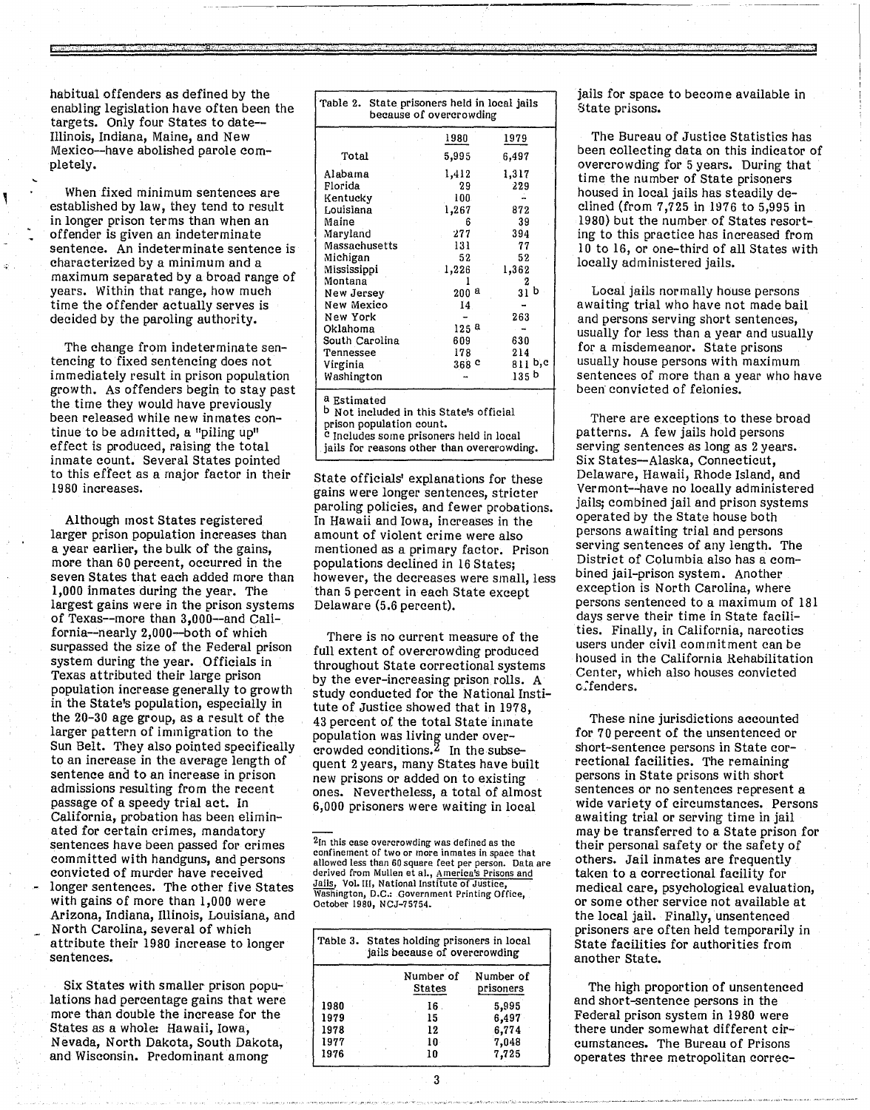habitual offenders as defined by the enabling legislation have often been the targets. Only four States to date-- Illinois, Indiana, Maine, and New Mexico-have abolished parole completely.

<u>r:; ;: : ... " "'s'</u>

When fixed minimum sentences are established by law, they tend to result in longer prison terms than when an offender is given an indeterminate sentence. An indeterminate sentence is characterized by a minimum and a maximum separated by a broad range of years. Within that range, how much time the offender actually serves is decided by the paroling authority.

The change from indeterminate sentencing to fixed sentencing does not immediately result in prison population growth. As offenders begin to stay past the time they would have previously been released while new inmates continue to be admitted, a "piling up" effect is produced, raising the total inmate count. Several States pointed to this effect as a major factor in their 1980 increases.

Although most States registered larger prison population increases than a year earlier, the bulk of the gains, more than 60 percent, occurred in the seven States that each added more than 1,000 inmates during the year. The largest gains were in the prison systems of Texas--more than 3,000-and California--nearly 2,000-both of which surpassed the size of the Federal prison system during the year. Officials in Texas attributed their large prison population increase generally to growth in the State's population, especially in the 20-30 age group, as a result of the larger pattern of immigration to the Sun Belt. They also pointed specifically to an increase in the average length of sentence and to an increase in prison admissions resulting from the recent passage of a speedy trial act. In California, probation has been eliminated for certain crimes, mandatory sentences have been passed for crimes committed with handguns, and persons convicted of murder have received longer sentences. The other five States with gains of more than 1,000 were Arizona, Indiana, Illinois, Louisiana, and<br>North Carolina, several of which attribute their 1980 increase to longer sentences.

Six States with smaller prison populations had percentage gains that were more than double the increase for the States as a whole: Hawaii, Iowa, Nevada, North Dakota, South Dakota, and Wisconsin. Predominant among

| State prisoners held in local jails<br>Table 2.<br>because of overcrowding                                                                                                                                   |                  |                  |  |  |  |  |  |
|--------------------------------------------------------------------------------------------------------------------------------------------------------------------------------------------------------------|------------------|------------------|--|--|--|--|--|
|                                                                                                                                                                                                              | 1980             | 1979             |  |  |  |  |  |
| Total                                                                                                                                                                                                        | 5,995            | 6,497            |  |  |  |  |  |
| Alabama                                                                                                                                                                                                      | 1,412            | 1,317            |  |  |  |  |  |
| Florida                                                                                                                                                                                                      | 29               | 229              |  |  |  |  |  |
| Kentucky                                                                                                                                                                                                     | 100              |                  |  |  |  |  |  |
| Louisiana                                                                                                                                                                                                    | 1,267            | 872              |  |  |  |  |  |
| Maine                                                                                                                                                                                                        | Б                | 39               |  |  |  |  |  |
| Maryland                                                                                                                                                                                                     | 277              | 394              |  |  |  |  |  |
| Massachusetts                                                                                                                                                                                                | 131              | 77               |  |  |  |  |  |
| Michigan                                                                                                                                                                                                     | 52               | 52               |  |  |  |  |  |
| Mississippi                                                                                                                                                                                                  | 1,226            | 1,362            |  |  |  |  |  |
| Montana                                                                                                                                                                                                      |                  | 2                |  |  |  |  |  |
| New Jersey                                                                                                                                                                                                   | $200$ a          | 31 b             |  |  |  |  |  |
| New Mexico                                                                                                                                                                                                   | 14               |                  |  |  |  |  |  |
| New York                                                                                                                                                                                                     |                  | 263              |  |  |  |  |  |
| Oklahoma                                                                                                                                                                                                     | 125 <sup>a</sup> |                  |  |  |  |  |  |
| South Carolina                                                                                                                                                                                               | 609              | 630              |  |  |  |  |  |
| Tennessee                                                                                                                                                                                                    | 178              | 214              |  |  |  |  |  |
| Virginia                                                                                                                                                                                                     | 368 <sup>c</sup> | 811 b,c          |  |  |  |  |  |
| Washington                                                                                                                                                                                                   |                  | 135 <sub>b</sub> |  |  |  |  |  |
| <sup>a</sup> Estimated<br><sup>b</sup> Not included in this State's official<br>prison population count.<br><sup>c</sup> Includes some prisoners held in local<br>jails for reasons other than overcrowding. |                  |                  |  |  |  |  |  |

. The distribution of  $\alpha$  is the stress of  $\alpha$  ,  $\alpha$  ,  $\alpha$  ,  $\beta$  ,  $\beta$  ,  $\beta$  ,  $\beta$  ,  $\beta$  ,  $\beta$  ,  $\beta$  ,  $\beta$ 

State officials' explanations for these gains were longer sentences, stricter paroling policies, and fewer probations. In Hawaii and Iowa, increases in the amount of violent crime were also mentioned as a primary factor. Prison populations declined in 16 States; however, the decreases were small, less than 5 percent in each State except Delaware (5.6 percent).

There is no current measure of the full extent of overcrowding produced throughout State correctional systems by the ever-increasing prison rolls. A study conducted for the National Institute of Justice showed that in 1978, 43 percent of the total State inmate population was living under overcrowded conditions.2 In the subsequent 2 years, many States have built new prisons or added on to existing ones. Nevertheless, a total of almost 6,000 prisoners were waiting in local

2In this case overcrowding was defined as the confinement of two or more inmates in space that allowed less than 60 square feet per person. Data are derived from Mullen et al., America's Prisons and Jails, Vol. III, National Institute of Justice, Washington, D.C.: Government Printing Office, October 1980, NCJ-75754.

| Table 3. States holding prisoners in local<br>jails because of overcrowding |  |                     |                        |  |  |  |
|-----------------------------------------------------------------------------|--|---------------------|------------------------|--|--|--|
|                                                                             |  | Number of<br>States | Number of<br>prisoners |  |  |  |
| 1980                                                                        |  | 16                  | 5,995                  |  |  |  |
| 1979                                                                        |  | 15                  | 6,497                  |  |  |  |
| 1978                                                                        |  | 12                  | 6,774                  |  |  |  |
| 1977                                                                        |  | 10                  | 7,048                  |  |  |  |
| 1976                                                                        |  | 10                  | 7.725                  |  |  |  |

jails for space to become available in State prisons.

" ! ~ " \_ Ii., ..

The Bureau of Justice Statistics has been collecting data on this indicator of overcrowding for 5 years. During that time the number of State prisoners housed in local jails has steadily declined (from 7,725 in 1976 to 5,995 in 1980) but the number of States resorting to this practice has increased from 10 to 16, or one-third of all States with locally administered jails.

Local jails normally house persons awaiting trial who have not made bail and persons serving short sentences, usually for less than a year and usually for a misdemeanor. State prisons usually house persons with maximum sentences of more than a year who have been convicted of felonies.

There are exceptions to these broad patterns. A few jails hold persons serving sentences as long as 2 years. Six States-Alaska, Connecticut, Delaware, Hawaii; Rhode Island, and Vermont--have no locally administered jails; combined jail and prison systems operated by the State house both persons awaiting trial and persons serving sentences of any length. The District of Columbia also has a combined jail-prison system. Another exception is North Carolina, where persons sentenced to a maximum of 181 days serve their time in State facilities. Finally, in California, narcotics users under civil commitment can be housed in the California Rehabilitation Center, which also houses convicted c:fenders.

These nine jurisdictions accounted for 70 percent of the unsentenced or short-sentence persons in State correctional facilities. The remaining persons in State prisons with short sentences or no sentences represent a wide variety of circumstances. Persons awaiting trial or serving time in jail may be transferred to a State prison for their personal safety or the safety of others. Jail inmates are frequently taken to a correctional facility for medical care, psychological evaluation, or some other service not available at the local jail. Finally, unsentenced prisoners are often held temporarily in State facilities for authorities from another State.

The high. proportion of unsentenced and short-sentence persons in the Federal prison system in 1980 were there under somewhat different circumstances. The Bureau of Prisons operates three metropolitan correc-

3